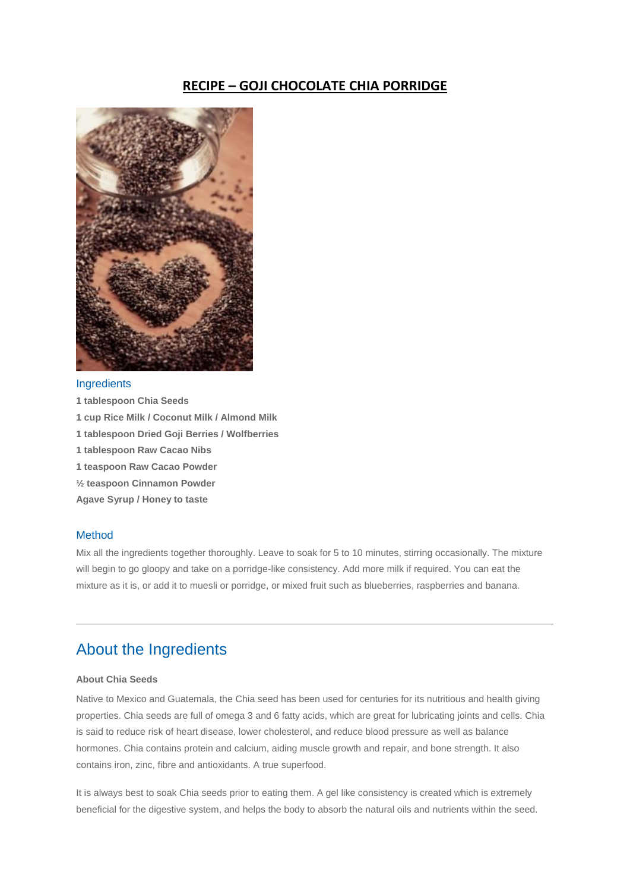## **RECIPE – GOJI CHOCOLATE CHIA PORRIDGE**



### **Ingredients**

- **1 tablespoon Chia Seeds**
- **1 cup Rice Milk / Coconut Milk / Almond Milk**
- **1 tablespoon Dried Goji Berries / Wolfberries**
- **1 tablespoon Raw Cacao Nibs**
- **1 teaspoon Raw Cacao Powder**
- **½ teaspoon Cinnamon Powder**
- **Agave Syrup / Honey to taste**

### Method

Mix all the ingredients together thoroughly. Leave to soak for 5 to 10 minutes, stirring occasionally. The mixture will begin to go gloopy and take on a porridge-like consistency. Add more milk if required. You can eat the mixture as it is, or add it to muesli or porridge, or mixed fruit such as blueberries, raspberries and banana.

# About the Ingredients

### **About Chia Seeds**

Native to Mexico and Guatemala, the Chia seed has been used for centuries for its nutritious and health giving properties. Chia seeds are full of omega 3 and 6 fatty acids, which are great for lubricating joints and cells. Chia is said to reduce risk of heart disease, lower cholesterol, and reduce blood pressure as well as balance hormones. Chia contains protein and calcium, aiding muscle growth and repair, and bone strength. It also contains iron, zinc, fibre and antioxidants. A true superfood.

It is always best to soak Chia seeds prior to eating them. A gel like consistency is created which is extremely beneficial for the digestive system, and helps the body to absorb the natural oils and nutrients within the seed.